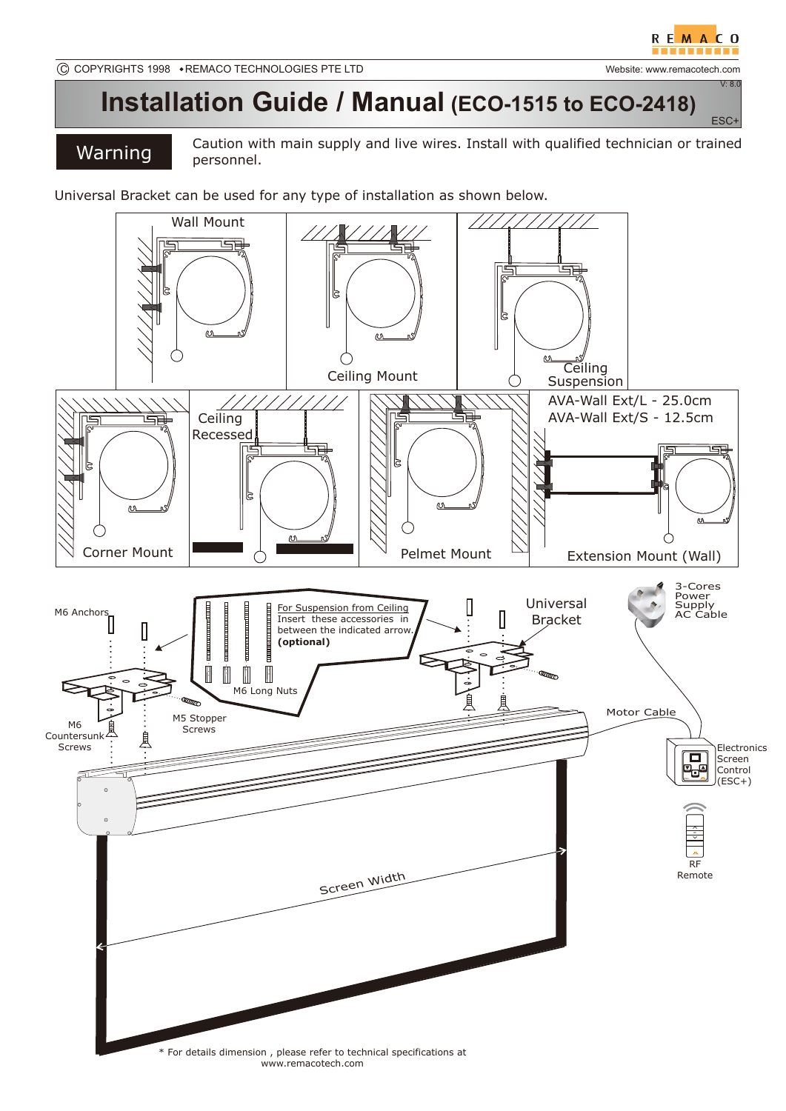ESC+

V: 8.0

## **Installation Guide / Manual (ECO-1515 to ECO-2418)**

Warning Caution with main supply and live wires. Install with qualified technician or trained personnel.

Universal Bracket can be used for any type of installation as shown below.

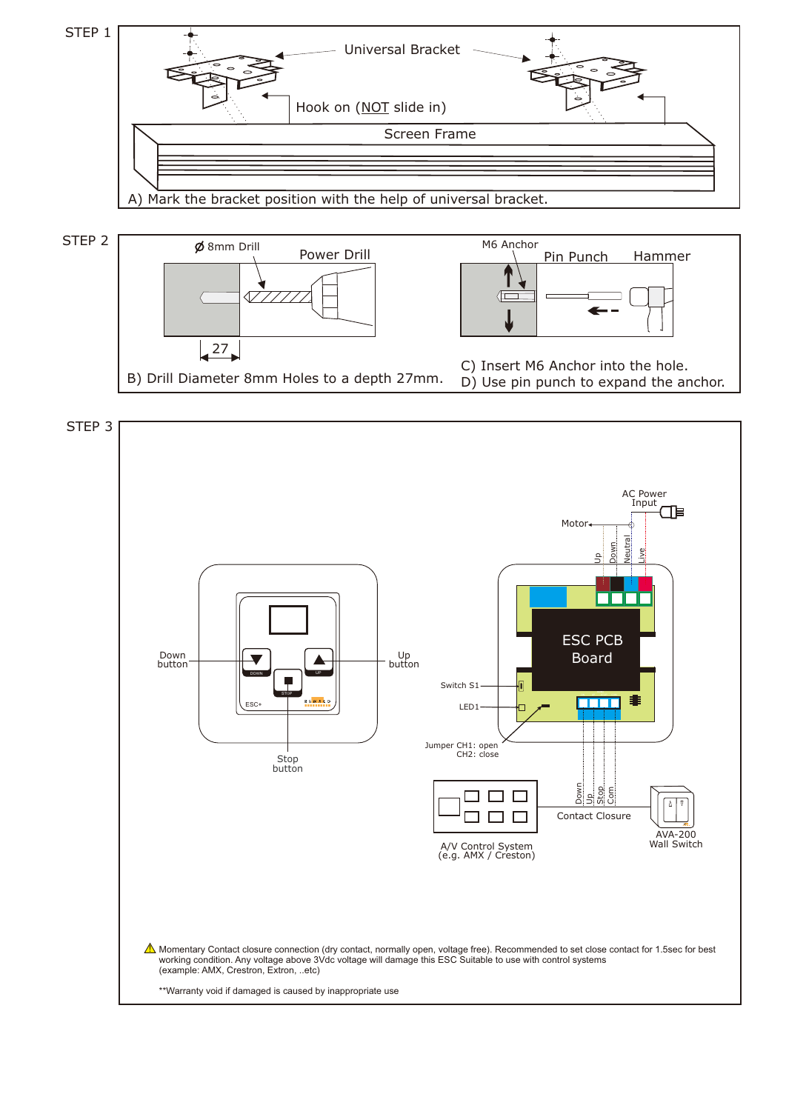





\*\*Warranty void if damaged is caused by inappropriate use